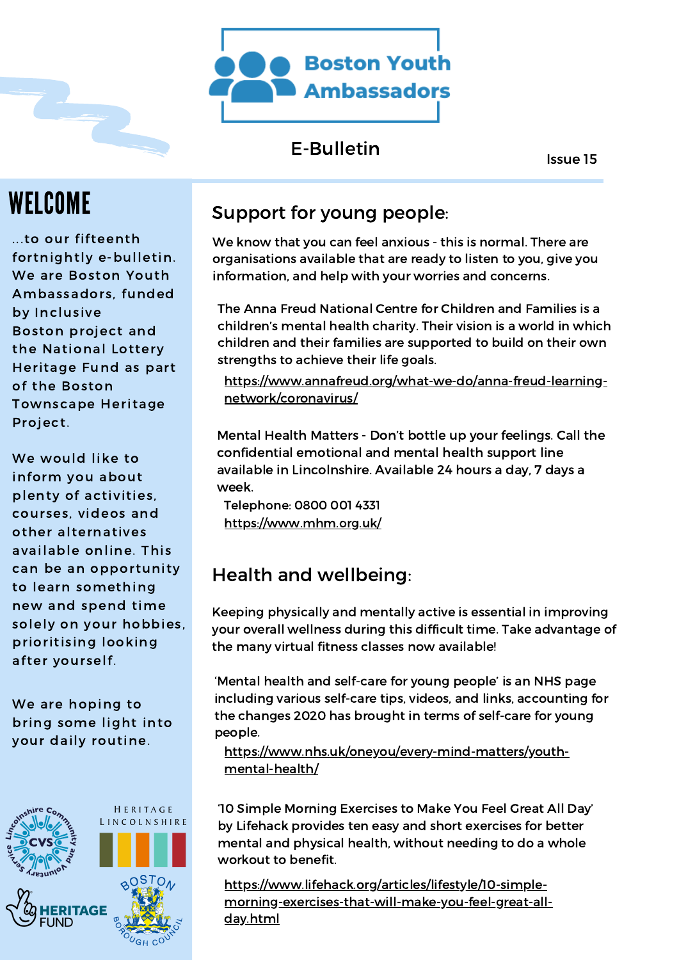

## E-Bulletin

Issue 15

# WELCOME

...to our fifteenth fortnightly e-bulletin. We are Boston Youth Ambassadors, funded by Inclusive Boston project and the National Lottery Heritage Fund as part of the Boston Townscape Heritage Project.

We would like to inform you about plenty of activities, courses, videos and other alternatives available online. This can be an opportunity to learn something new and spend time solely on your hobbies, prioritising looking after yourself.

We are hoping to bring some light into your daily routine.



## Support for young people:

We know that you can feel anxious - this is normal. There are organisations available that are ready to listen to you, give you information, and help with your worries and concerns.

The Anna Freud National Centre for Children and Families is a children's mental health charity. Their vision is a world in which children and their families are supported to build on their own strengths to achieve their life goals.

[https://www.annafreud.org/what-we-do/anna-freud-learning](https://www.annafreud.org/what-we-do/anna-freud-learning-network/coronavirus/)network/coronavirus/

Mental Health Matters - Don't bottle up your feelings. Call the confidential emotional and mental health support line available in Lincolnshire. Available 24 hours a day, 7 days a week.

<https://www.mhm.org.uk/> Telephone: 0800 001 4331

## Health and wellbeing:

Keeping physically and mentally active is essential in improving your overall wellness during this difficult time. Take advantage of the many virtual fitness classes now available!

'Mental health and self-care for young people' is an NHS page including various self-care tips, videos, and links, accounting for the changes 2020 has brought in terms of self-care for young people.

[https://www.nhs.uk/oneyou/every-mind-matters/youth](https://www.nhs.uk/oneyou/every-mind-matters/youth-mental-health/)mental-health/

'10 Simple Morning Exercises to Make You Feel Great All Day' by Lifehack provides ten easy and short exercises for better mental and physical health, without needing to do a whole workout to benefit.

https://www.lifehack.org/articles/lifestyle/10-simple[morning-exercises-that-will-make-you-feel-great-all](https://www.lifehack.org/articles/lifestyle/10-simple-morning-exercises-that-will-make-you-feel-great-all-day.html)day.html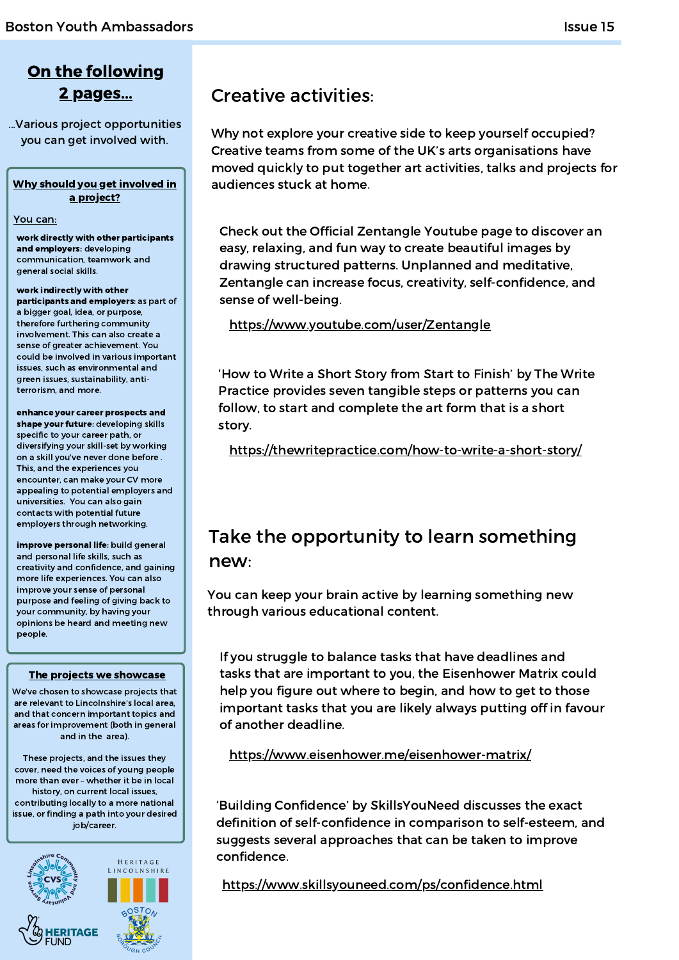## On the following 2 pages...

...Various project opportunities you can get involved with.

### Why should you get involved in a project?

#### You can:

work directly with other participants and employers: developing communication, teamwork, and general social skills.

#### work indirectly with other participants and employers: as part of a bigger goal, idea, or purpose, therefore furthering community involvement. This can also create a

sense of greater achievement. You could be involved in various important issues, such as environmental and green issues, sustainability, antiterrorism, and more.

enhance your career prospects and shape your future: developing skills specific to your career path, or diversifying your skill-set by working on a skill you've never done before . This, and the experiences you encounter, can make your CV more appealing to potential employers and universities. You can also gain contacts with potential future employers through networking.

improve personal life: build general and personal life skills, such as creativity and confidence, and gaining more life experiences. You can also improve your sense of personal purpose and feeling of giving back to your community, by having your opinions be heard and meeting new people.

### The projects we showcase

We've chosen to showcase projects that are relevant to Lincolnshire's local area, and that concern important topics and areas for improvement (both in general and in the area).

These projects, and the issues they cover, need the voices of young people more than ever – whether it be in local history, on current local issues, contributing locally to a more national issue, or finding a path into your desired job/career.



## Creative activities:

Why not explore your creative side to keep yourself occupied? Creative teams from some of the UK's arts organisations have moved quickly to put together art activities, talks and projects for audiences stuck at home.

Check out the Official Zentangle Youtube page to discover an easy, relaxing, and fun way to create beautiful images by drawing structured patterns. Unplanned and meditative, Zentangle can increase focus, creativity, self-confidence, and sense of well-being.

### <https://www.youtube.com/user/Zentangle>

'How to Write a Short Story from Start to Finish' by The Write Practice provides seven tangible steps or patterns you can follow, to start and complete the art form that is a short story.

<https://thewritepractice.com/how-to-write-a-short-story/>

## Take the opportunity to learn something new:

You can keep your brain active by learning something new through various educational content.

If you struggle to balance tasks that have deadlines and tasks that are important to you, the Eisenhower Matrix could help you figure out where to begin, and how to get to those important tasks that you are likely always putting off in favour of another deadline.

<https://www.eisenhower.me/eisenhower-matrix/>

'Building Confidence' by SkillsYouNeed discusses the exact definition of self-confidence in comparison to self-esteem, and suggests several approaches that can be taken to improve confidence.

<https://www.skillsyouneed.com/ps/confidence.html>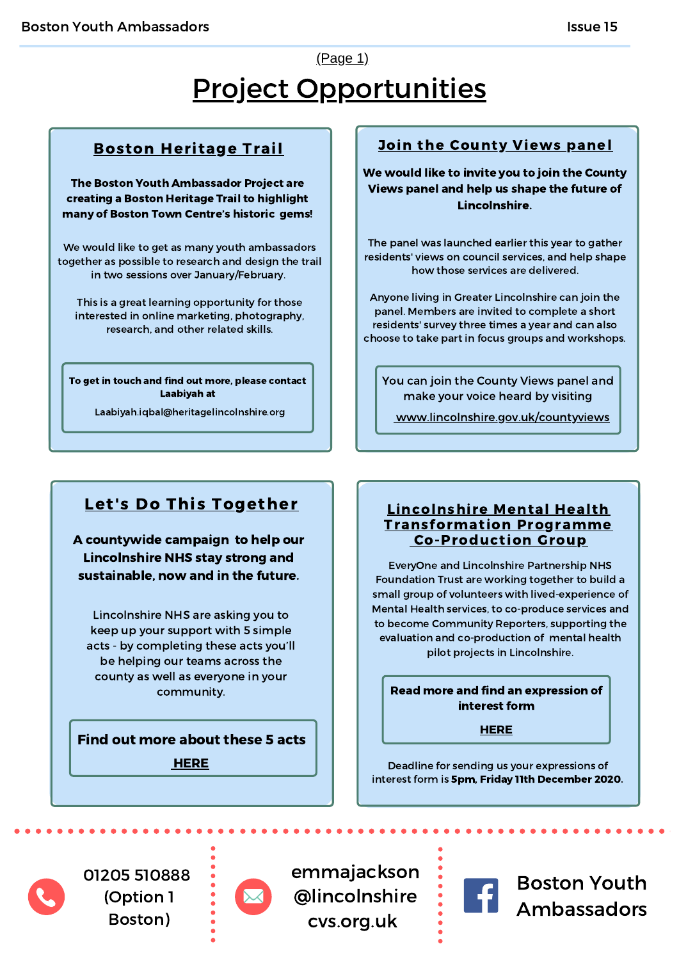# Project Opportunities (Page 1)

## Boston Heritage Trail

The Boston Youth Ambassador Project are creating a Boston Heritage Trail to highlight many of Boston Town Centre's historic gems!

We would like to get as many youth ambassadors together as possible to research and design the trail in two sessions over January/February.

This is a great learning opportunity for those interested in online marketing, photography, research, and other related skills.

To get in touch and find out more, please contact Laabiyah at

Laabiyah.iqbal@heritagelincolnshire.org

## Join the County Views panel

We would like to invite you to join the County Views panel and help us shape the future of Lincolnshire.

The panel was launched earlier this year to gather residents' views on council services, and help shape how those services are delivered.

Anyone living in Greater Lincolnshire can join the panel. Members are invited to complete a short residents' survey three times a year and can also choose to take part in focus groups and workshops.

You can join the County Views panel and make your voice heard by visiting

[www.lincolnshire.gov.uk/countyviews](http://www.lincolnshire.gov.uk/countyviews)

## Let's Do This Together

A countywide campaign to help our Lincolnshire NHS stay strong and sustainable, now and in the future.

Lincolnshire NHS are asking you to keep up your support with 5 simple acts - by completing these acts you'll be helping our teams across the county as well as everyone in your community.

Find out more about these 5 acts

**[HERE](https://www.lincolnshire.nhs.uk/get-involved/our-campaigns/lets-do-together)** 

### Lincolnshire Mental Health Transformation Programme Co-Production Group

EveryOne and Lincolnshire Partnership NHS Foundation Trust are working together to build a small group of volunteers with lived-experience of Mental Health services, to co-produce services and to become Community Reporters, supporting the evaluation and co-production of mental health pilot projects in Lincolnshire.

Read more and find an expression of interest form

**[HERE](https://www.lincolnshire.nhs.uk/application/files/6716/0570/2664/Mental_Health_Transformation_Programme_Co-production_Group_-_Introduction__EOI.pdf)** 

Deadline for sending us your expressions of interest form is 5pm, Friday 11th December 2020.

01205 510888 (Option 1 Boston)



emmajackson @lincolnshire cvs.org.uk



Boston Youth Ambassadors